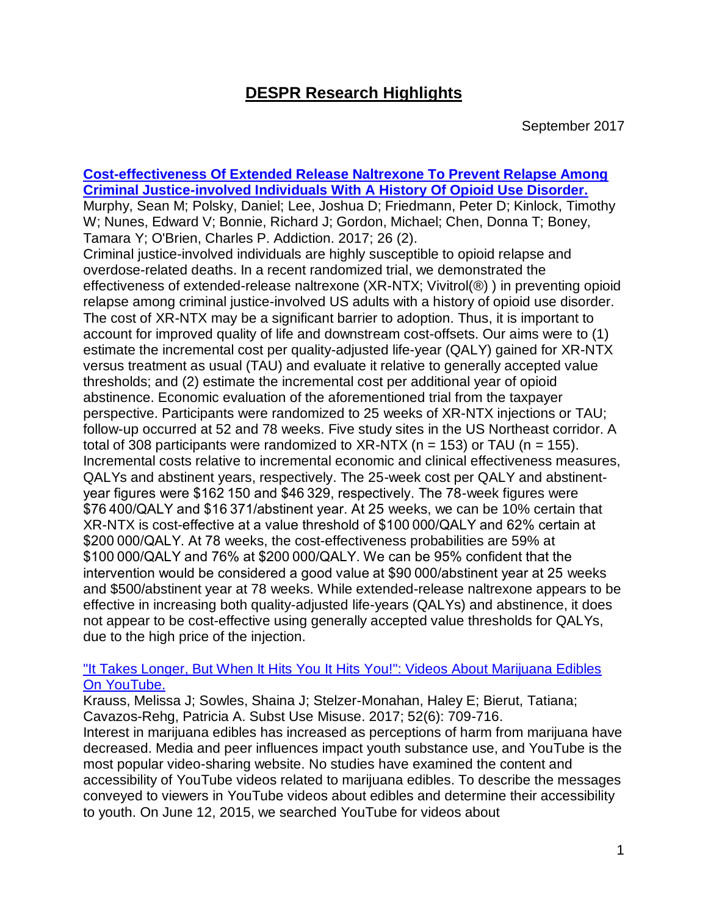# **DESPR Research Highlights**

#### **[Cost-effectiveness Of Extended Release Naltrexone To Prevent Relapse Among](https://www.ncbi.nlm.nih.gov/pubmed/28239984)  [Criminal Justice-involved Individuals With A History Of Opioid Use Disorder.](https://www.ncbi.nlm.nih.gov/pubmed/28239984)** Murphy, Sean M; Polsky, Daniel; Lee, Joshua D; Friedmann, Peter D; Kinlock, Timothy W; Nunes, Edward V; Bonnie, Richard J; Gordon, Michael; Chen, Donna T; Boney, Tamara Y; O'Brien, Charles P. Addiction. 2017; 26 (2). Criminal justice-involved individuals are highly susceptible to opioid relapse and overdose-related deaths. In a recent randomized trial, we demonstrated the effectiveness of extended-release naltrexone (XR-NTX; Vivitrol(®) ) in preventing opioid relapse among criminal justice-involved US adults with a history of opioid use disorder. The cost of XR-NTX may be a significant barrier to adoption. Thus, it is important to account for improved quality of life and downstream cost-offsets. Our aims were to (1) estimate the incremental cost per quality-adjusted life-year (QALY) gained for XR-NTX versus treatment as usual (TAU) and evaluate it relative to generally accepted value thresholds; and (2) estimate the incremental cost per additional year of opioid abstinence. Economic evaluation of the aforementioned trial from the taxpayer perspective. Participants were randomized to 25 weeks of XR-NTX injections or TAU; follow-up occurred at 52 and 78 weeks. Five study sites in the US Northeast corridor. A total of 308 participants were randomized to  $XR\text{-}NTX$  (n = 153) or TAU (n = 155). Incremental costs relative to incremental economic and clinical effectiveness measures, QALYs and abstinent years, respectively. The 25-week cost per QALY and abstinentyear figures were \$162 150 and \$46 329, respectively. The 78-week figures were \$76 400/QALY and \$16 371/abstinent year. At 25 weeks, we can be 10% certain that XR-NTX is cost-effective at a value threshold of \$100 000/QALY and 62% certain at \$200 000/QALY. At 78 weeks, the cost-effectiveness probabilities are 59% at \$100 000/QALY and 76% at \$200 000/QALY. We can be 95% confident that the intervention would be considered a good value at \$90 000/abstinent year at 25 weeks and \$500/abstinent year at 78 weeks. While extended-release naltrexone appears to be effective in increasing both quality-adjusted life-years (QALYs) and abstinence, it does not appear to be cost-effective using generally accepted value thresholds for QALYs, due to the high price of the injection.

## ["It Takes Longer, But When It Hits You It Hits You!": Videos About Marijuana Edibles](http://www.ncbi.nlm.nih.gov/pubmed/28145799)  [On YouTube.](http://www.ncbi.nlm.nih.gov/pubmed/28145799)

Krauss, Melissa J; Sowles, Shaina J; Stelzer-Monahan, Haley E; Bierut, Tatiana; Cavazos-Rehg, Patricia A. Subst Use Misuse. 2017; 52(6): 709-716. Interest in marijuana edibles has increased as perceptions of harm from marijuana have decreased. Media and peer influences impact youth substance use, and YouTube is the most popular video-sharing website. No studies have examined the content and accessibility of YouTube videos related to marijuana edibles. To describe the messages conveyed to viewers in YouTube videos about edibles and determine their accessibility to youth. On June 12, 2015, we searched YouTube for videos about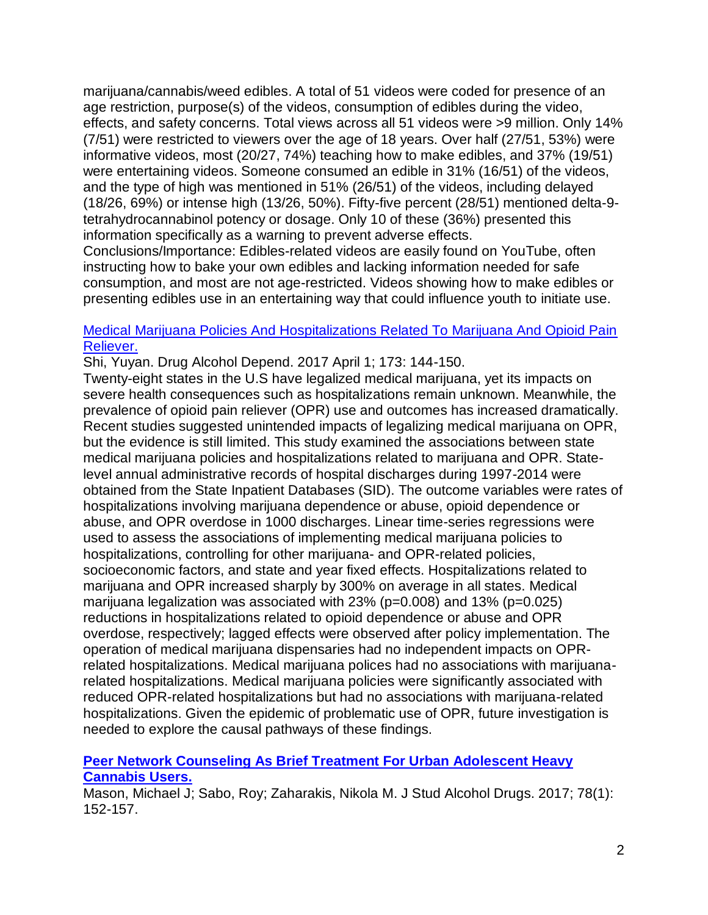marijuana/cannabis/weed edibles. A total of 51 videos were coded for presence of an age restriction, purpose(s) of the videos, consumption of edibles during the video, effects, and safety concerns. Total views across all 51 videos were >9 million. Only 14% (7/51) were restricted to viewers over the age of 18 years. Over half (27/51, 53%) were informative videos, most (20/27, 74%) teaching how to make edibles, and 37% (19/51) were entertaining videos. Someone consumed an edible in 31% (16/51) of the videos, and the type of high was mentioned in 51% (26/51) of the videos, including delayed (18/26, 69%) or intense high (13/26, 50%). Fifty-five percent (28/51) mentioned delta-9 tetrahydrocannabinol potency or dosage. Only 10 of these (36%) presented this information specifically as a warning to prevent adverse effects.

Conclusions/Importance: Edibles-related videos are easily found on YouTube, often instructing how to bake your own edibles and lacking information needed for safe consumption, and most are not age-restricted. Videos showing how to make edibles or presenting edibles use in an entertaining way that could influence youth to initiate use.

#### [Medical Marijuana Policies And Hospitalizations Related To Marijuana And Opioid Pain](http://www.ncbi.nlm.nih.gov/pubmed/28259087)  [Reliever.](http://www.ncbi.nlm.nih.gov/pubmed/28259087)

Shi, Yuyan. Drug Alcohol Depend. 2017 April 1; 173: 144-150.

Twenty-eight states in the U.S have legalized medical marijuana, yet its impacts on severe health consequences such as hospitalizations remain unknown. Meanwhile, the prevalence of opioid pain reliever (OPR) use and outcomes has increased dramatically. Recent studies suggested unintended impacts of legalizing medical marijuana on OPR, but the evidence is still limited. This study examined the associations between state medical marijuana policies and hospitalizations related to marijuana and OPR. Statelevel annual administrative records of hospital discharges during 1997-2014 were obtained from the State Inpatient Databases (SID). The outcome variables were rates of hospitalizations involving marijuana dependence or abuse, opioid dependence or abuse, and OPR overdose in 1000 discharges. Linear time-series regressions were used to assess the associations of implementing medical marijuana policies to hospitalizations, controlling for other marijuana- and OPR-related policies, socioeconomic factors, and state and year fixed effects. Hospitalizations related to marijuana and OPR increased sharply by 300% on average in all states. Medical marijuana legalization was associated with 23% (p=0.008) and 13% (p=0.025) reductions in hospitalizations related to opioid dependence or abuse and OPR overdose, respectively; lagged effects were observed after policy implementation. The operation of medical marijuana dispensaries had no independent impacts on OPRrelated hospitalizations. Medical marijuana polices had no associations with marijuanarelated hospitalizations. Medical marijuana policies were significantly associated with reduced OPR-related hospitalizations but had no associations with marijuana-related hospitalizations. Given the epidemic of problematic use of OPR, future investigation is needed to explore the causal pathways of these findings.

# **[Peer Network Counseling As Brief Treatment For Urban Adolescent Heavy](http://www.ncbi.nlm.nih.gov/pubmed/27936376)  [Cannabis Users.](http://www.ncbi.nlm.nih.gov/pubmed/27936376)**

Mason, Michael J; Sabo, Roy; Zaharakis, Nikola M. J Stud Alcohol Drugs. 2017; 78(1): 152-157.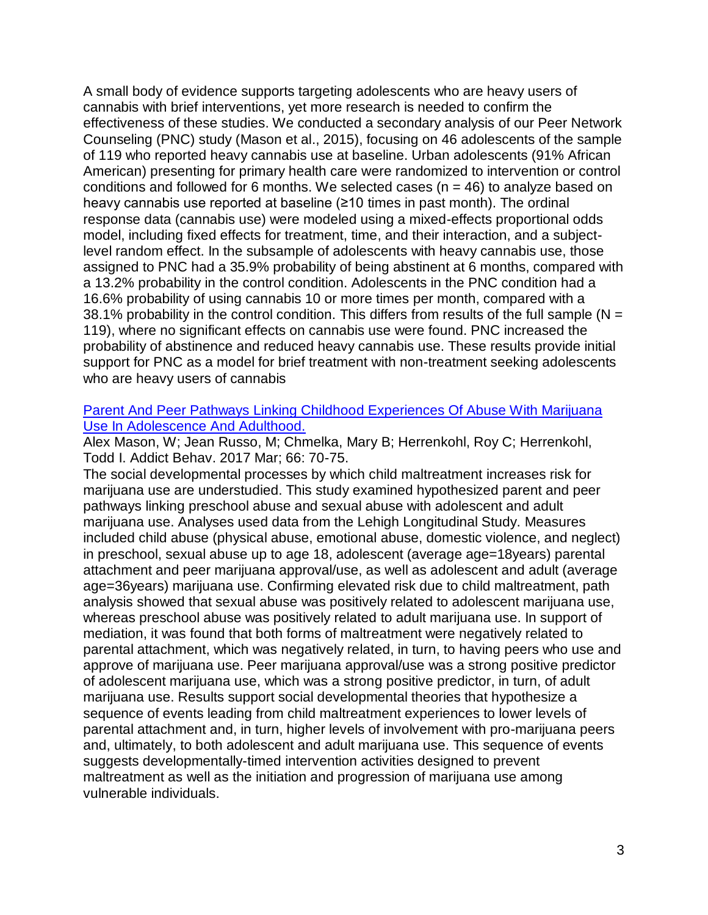A small body of evidence supports targeting adolescents who are heavy users of cannabis with brief interventions, yet more research is needed to confirm the effectiveness of these studies. We conducted a secondary analysis of our Peer Network Counseling (PNC) study (Mason et al., 2015), focusing on 46 adolescents of the sample of 119 who reported heavy cannabis use at baseline. Urban adolescents (91% African American) presenting for primary health care were randomized to intervention or control conditions and followed for 6 months. We selected cases ( $n = 46$ ) to analyze based on heavy cannabis use reported at baseline (≥10 times in past month). The ordinal response data (cannabis use) were modeled using a mixed-effects proportional odds model, including fixed effects for treatment, time, and their interaction, and a subjectlevel random effect. In the subsample of adolescents with heavy cannabis use, those assigned to PNC had a 35.9% probability of being abstinent at 6 months, compared with a 13.2% probability in the control condition. Adolescents in the PNC condition had a 16.6% probability of using cannabis 10 or more times per month, compared with a 38.1% probability in the control condition. This differs from results of the full sample ( $N =$ 119), where no significant effects on cannabis use were found. PNC increased the probability of abstinence and reduced heavy cannabis use. These results provide initial support for PNC as a model for brief treatment with non-treatment seeking adolescents who are heavy users of cannabis

#### [Parent And Peer Pathways Linking Childhood Experiences Of Abuse With Marijuana](http://www.ncbi.nlm.nih.gov/pubmed/27889563)  [Use In Adolescence And Adulthood.](http://www.ncbi.nlm.nih.gov/pubmed/27889563)

Alex Mason, W; Jean Russo, M; Chmelka, Mary B; Herrenkohl, Roy C; Herrenkohl, Todd I. Addict Behav. 2017 Mar; 66: 70-75.

The social developmental processes by which child maltreatment increases risk for marijuana use are understudied. This study examined hypothesized parent and peer pathways linking preschool abuse and sexual abuse with adolescent and adult marijuana use. Analyses used data from the Lehigh Longitudinal Study. Measures included child abuse (physical abuse, emotional abuse, domestic violence, and neglect) in preschool, sexual abuse up to age 18, adolescent (average age=18years) parental attachment and peer marijuana approval/use, as well as adolescent and adult (average age=36years) marijuana use. Confirming elevated risk due to child maltreatment, path analysis showed that sexual abuse was positively related to adolescent marijuana use, whereas preschool abuse was positively related to adult marijuana use. In support of mediation, it was found that both forms of maltreatment were negatively related to parental attachment, which was negatively related, in turn, to having peers who use and approve of marijuana use. Peer marijuana approval/use was a strong positive predictor of adolescent marijuana use, which was a strong positive predictor, in turn, of adult marijuana use. Results support social developmental theories that hypothesize a sequence of events leading from child maltreatment experiences to lower levels of parental attachment and, in turn, higher levels of involvement with pro-marijuana peers and, ultimately, to both adolescent and adult marijuana use. This sequence of events suggests developmentally-timed intervention activities designed to prevent maltreatment as well as the initiation and progression of marijuana use among vulnerable individuals.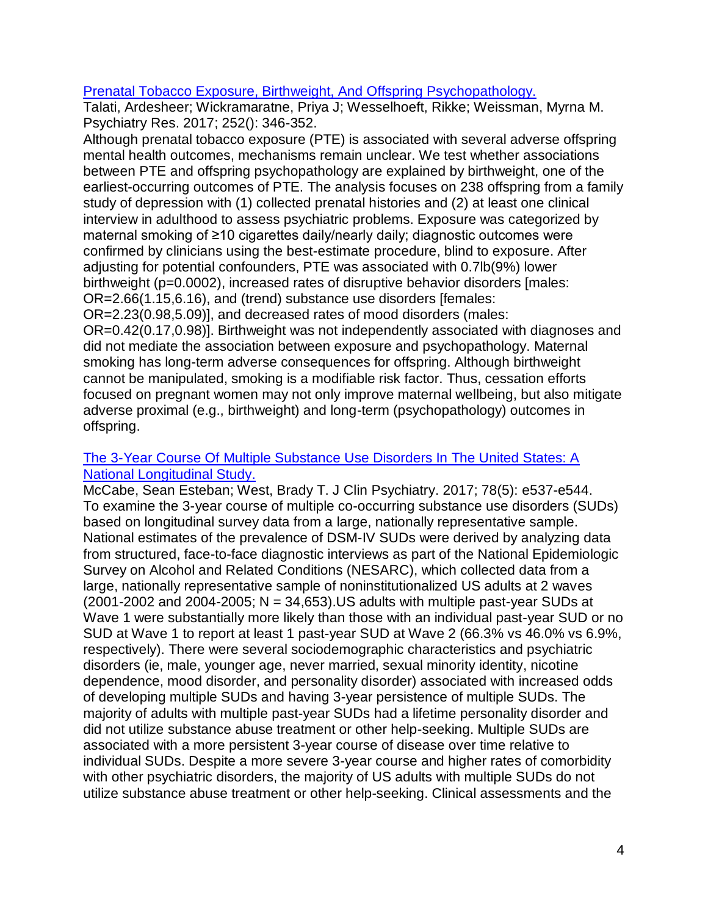#### [Prenatal Tobacco Exposure, Birthweight, And Offspring Psychopathology.](http://www.ncbi.nlm.nih.gov/pubmed/28327448)

Talati, Ardesheer; Wickramaratne, Priya J; Wesselhoeft, Rikke; Weissman, Myrna M. Psychiatry Res. 2017; 252(): 346-352.

Although prenatal tobacco exposure (PTE) is associated with several adverse offspring mental health outcomes, mechanisms remain unclear. We test whether associations between PTE and offspring psychopathology are explained by birthweight, one of the earliest-occurring outcomes of PTE. The analysis focuses on 238 offspring from a family study of depression with (1) collected prenatal histories and (2) at least one clinical interview in adulthood to assess psychiatric problems. Exposure was categorized by maternal smoking of ≥10 cigarettes daily/nearly daily; diagnostic outcomes were confirmed by clinicians using the best-estimate procedure, blind to exposure. After adjusting for potential confounders, PTE was associated with 0.7lb(9%) lower birthweight (p=0.0002), increased rates of disruptive behavior disorders [males: OR=2.66(1.15,6.16), and (trend) substance use disorders [females:

OR=2.23(0.98,5.09)], and decreased rates of mood disorders (males:

OR=0.42(0.17,0.98)]. Birthweight was not independently associated with diagnoses and did not mediate the association between exposure and psychopathology. Maternal smoking has long-term adverse consequences for offspring. Although birthweight cannot be manipulated, smoking is a modifiable risk factor. Thus, cessation efforts focused on pregnant women may not only improve maternal wellbeing, but also mitigate adverse proximal (e.g., birthweight) and long-term (psychopathology) outcomes in offspring.

## [The 3-Year Course Of Multiple Substance Use Disorders In The United States: A](http://www.ncbi.nlm.nih.gov/pubmed/28406266)  [National Longitudinal Study.](http://www.ncbi.nlm.nih.gov/pubmed/28406266)

McCabe, Sean Esteban; West, Brady T. J Clin Psychiatry. 2017; 78(5): e537-e544. To examine the 3-year course of multiple co-occurring substance use disorders (SUDs) based on longitudinal survey data from a large, nationally representative sample. National estimates of the prevalence of DSM-IV SUDs were derived by analyzing data from structured, face-to-face diagnostic interviews as part of the National Epidemiologic Survey on Alcohol and Related Conditions (NESARC), which collected data from a large, nationally representative sample of noninstitutionalized US adults at 2 waves  $(2001-2002$  and  $2004-2005$ ; N = 34,653). US adults with multiple past-year SUDs at Wave 1 were substantially more likely than those with an individual past-year SUD or no SUD at Wave 1 to report at least 1 past-year SUD at Wave 2 (66.3% vs 46.0% vs 6.9%, respectively). There were several sociodemographic characteristics and psychiatric disorders (ie, male, younger age, never married, sexual minority identity, nicotine dependence, mood disorder, and personality disorder) associated with increased odds of developing multiple SUDs and having 3-year persistence of multiple SUDs. The majority of adults with multiple past-year SUDs had a lifetime personality disorder and did not utilize substance abuse treatment or other help-seeking. Multiple SUDs are associated with a more persistent 3-year course of disease over time relative to individual SUDs. Despite a more severe 3-year course and higher rates of comorbidity with other psychiatric disorders, the majority of US adults with multiple SUDs do not utilize substance abuse treatment or other help-seeking. Clinical assessments and the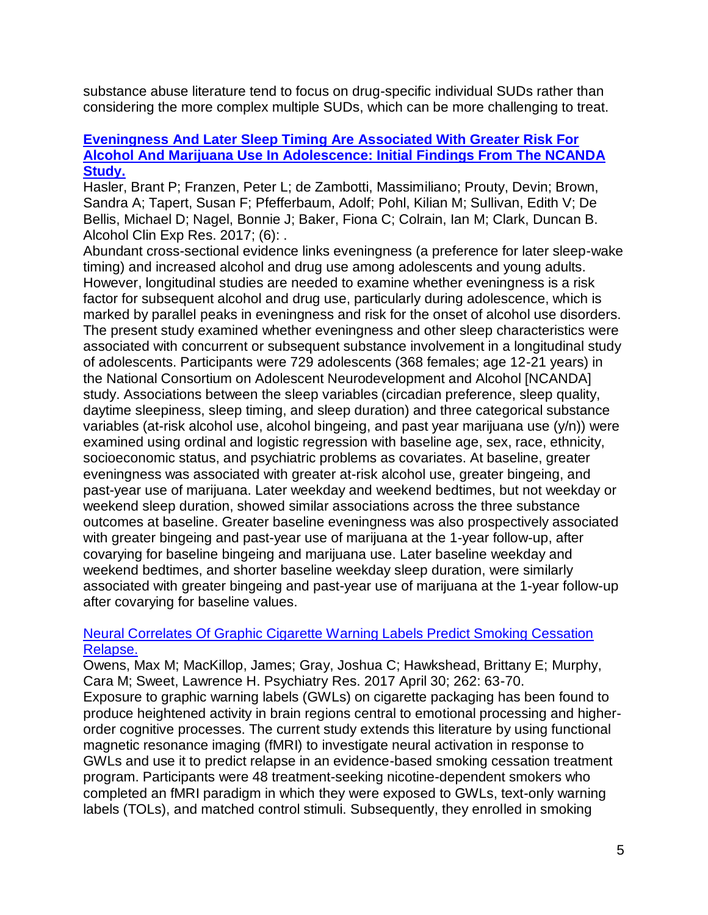substance abuse literature tend to focus on drug-specific individual SUDs rather than considering the more complex multiple SUDs, which can be more challenging to treat.

## **[Eveningness And Later Sleep Timing Are Associated With Greater Risk For](http://www.ncbi.nlm.nih.gov/pubmed/28421617)  [Alcohol And Marijuana Use In Adolescence: Initial Findings From The NCANDA](http://www.ncbi.nlm.nih.gov/pubmed/28421617)  [Study.](http://www.ncbi.nlm.nih.gov/pubmed/28421617)**

Hasler, Brant P; Franzen, Peter L; de Zambotti, Massimiliano; Prouty, Devin; Brown, Sandra A; Tapert, Susan F; Pfefferbaum, Adolf; Pohl, Kilian M; Sullivan, Edith V; De Bellis, Michael D; Nagel, Bonnie J; Baker, Fiona C; Colrain, Ian M; Clark, Duncan B. Alcohol Clin Exp Res. 2017; (6): .

Abundant cross-sectional evidence links eveningness (a preference for later sleep-wake timing) and increased alcohol and drug use among adolescents and young adults. However, longitudinal studies are needed to examine whether eveningness is a risk factor for subsequent alcohol and drug use, particularly during adolescence, which is marked by parallel peaks in eveningness and risk for the onset of alcohol use disorders. The present study examined whether eveningness and other sleep characteristics were associated with concurrent or subsequent substance involvement in a longitudinal study of adolescents. Participants were 729 adolescents (368 females; age 12-21 years) in the National Consortium on Adolescent Neurodevelopment and Alcohol [NCANDA] study. Associations between the sleep variables (circadian preference, sleep quality, daytime sleepiness, sleep timing, and sleep duration) and three categorical substance variables (at-risk alcohol use, alcohol bingeing, and past year marijuana use (y/n)) were examined using ordinal and logistic regression with baseline age, sex, race, ethnicity, socioeconomic status, and psychiatric problems as covariates. At baseline, greater eveningness was associated with greater at-risk alcohol use, greater bingeing, and past-year use of marijuana. Later weekday and weekend bedtimes, but not weekday or weekend sleep duration, showed similar associations across the three substance outcomes at baseline. Greater baseline eveningness was also prospectively associated with greater bingeing and past-year use of marijuana at the 1-year follow-up, after covarying for baseline bingeing and marijuana use. Later baseline weekday and weekend bedtimes, and shorter baseline weekday sleep duration, were similarly associated with greater bingeing and past-year use of marijuana at the 1-year follow-up after covarying for baseline values.

## [Neural Correlates Of Graphic Cigarette Warning Labels Predict Smoking Cessation](http://www.ncbi.nlm.nih.gov/pubmed/28236714)  [Relapse.](http://www.ncbi.nlm.nih.gov/pubmed/28236714)

Owens, Max M; MacKillop, James; Gray, Joshua C; Hawkshead, Brittany E; Murphy, Cara M; Sweet, Lawrence H. Psychiatry Res. 2017 April 30; 262: 63-70. Exposure to graphic warning labels (GWLs) on cigarette packaging has been found to produce heightened activity in brain regions central to emotional processing and higherorder cognitive processes. The current study extends this literature by using functional magnetic resonance imaging (fMRI) to investigate neural activation in response to GWLs and use it to predict relapse in an evidence-based smoking cessation treatment program. Participants were 48 treatment-seeking nicotine-dependent smokers who completed an fMRI paradigm in which they were exposed to GWLs, text-only warning labels (TOLs), and matched control stimuli. Subsequently, they enrolled in smoking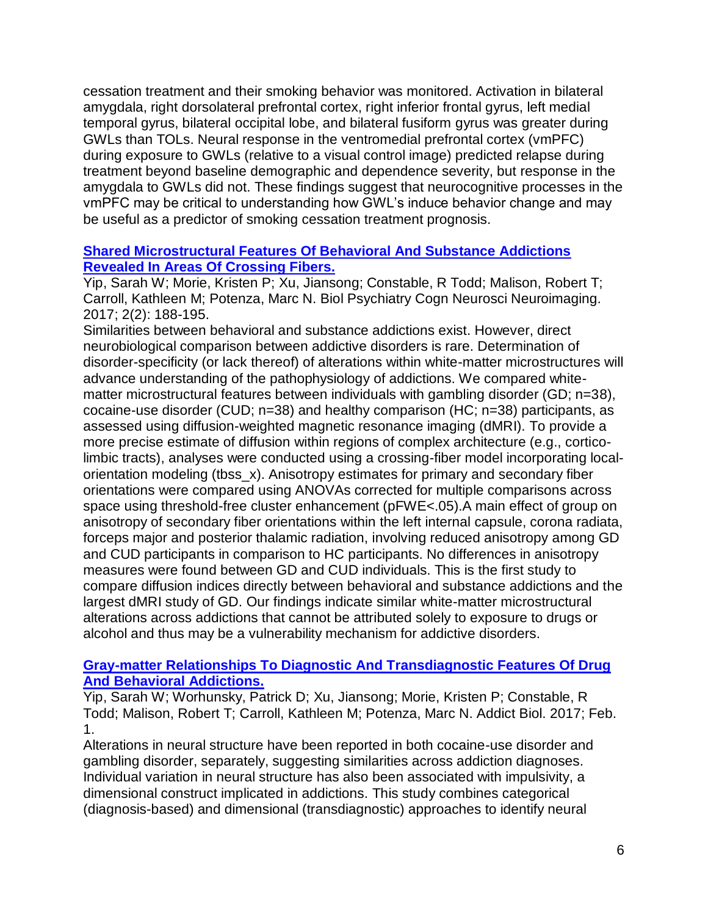cessation treatment and their smoking behavior was monitored. Activation in bilateral amygdala, right dorsolateral prefrontal cortex, right inferior frontal gyrus, left medial temporal gyrus, bilateral occipital lobe, and bilateral fusiform gyrus was greater during GWLs than TOLs. Neural response in the ventromedial prefrontal cortex (vmPFC) during exposure to GWLs (relative to a visual control image) predicted relapse during treatment beyond baseline demographic and dependence severity, but response in the amygdala to GWLs did not. These findings suggest that neurocognitive processes in the vmPFC may be critical to understanding how GWL's induce behavior change and may be useful as a predictor of smoking cessation treatment prognosis.

## **[Shared Microstructural Features Of Behavioral And Substance Addictions](http://www.ncbi.nlm.nih.gov/pubmed/28367515)  [Revealed In Areas Of Crossing Fibers.](http://www.ncbi.nlm.nih.gov/pubmed/28367515)**

Yip, Sarah W; Morie, Kristen P; Xu, Jiansong; Constable, R Todd; Malison, Robert T; Carroll, Kathleen M; Potenza, Marc N. Biol Psychiatry Cogn Neurosci Neuroimaging. 2017; 2(2): 188-195.

Similarities between behavioral and substance addictions exist. However, direct neurobiological comparison between addictive disorders is rare. Determination of disorder-specificity (or lack thereof) of alterations within white-matter microstructures will advance understanding of the pathophysiology of addictions. We compared whitematter microstructural features between individuals with gambling disorder (GD; n=38), cocaine-use disorder (CUD; n=38) and healthy comparison (HC; n=38) participants, as assessed using diffusion-weighted magnetic resonance imaging (dMRI). To provide a more precise estimate of diffusion within regions of complex architecture (e.g., corticolimbic tracts), analyses were conducted using a crossing-fiber model incorporating localorientation modeling (tbss\_x). Anisotropy estimates for primary and secondary fiber orientations were compared using ANOVAs corrected for multiple comparisons across space using threshold-free cluster enhancement (pFWE<.05).A main effect of group on anisotropy of secondary fiber orientations within the left internal capsule, corona radiata, forceps major and posterior thalamic radiation, involving reduced anisotropy among GD and CUD participants in comparison to HC participants. No differences in anisotropy measures were found between GD and CUD individuals. This is the first study to compare diffusion indices directly between behavioral and substance addictions and the largest dMRI study of GD. Our findings indicate similar white-matter microstructural alterations across addictions that cannot be attributed solely to exposure to drugs or alcohol and thus may be a vulnerability mechanism for addictive disorders.

## **[Gray-matter Relationships To Diagnostic And Transdiagnostic Features Of Drug](http://www.ncbi.nlm.nih.gov/pubmed/28150390)  [And Behavioral Addictions.](http://www.ncbi.nlm.nih.gov/pubmed/28150390)**

Yip, Sarah W; Worhunsky, Patrick D; Xu, Jiansong; Morie, Kristen P; Constable, R Todd; Malison, Robert T; Carroll, Kathleen M; Potenza, Marc N. Addict Biol. 2017; Feb. 1.

Alterations in neural structure have been reported in both cocaine-use disorder and gambling disorder, separately, suggesting similarities across addiction diagnoses. Individual variation in neural structure has also been associated with impulsivity, a dimensional construct implicated in addictions. This study combines categorical (diagnosis-based) and dimensional (transdiagnostic) approaches to identify neural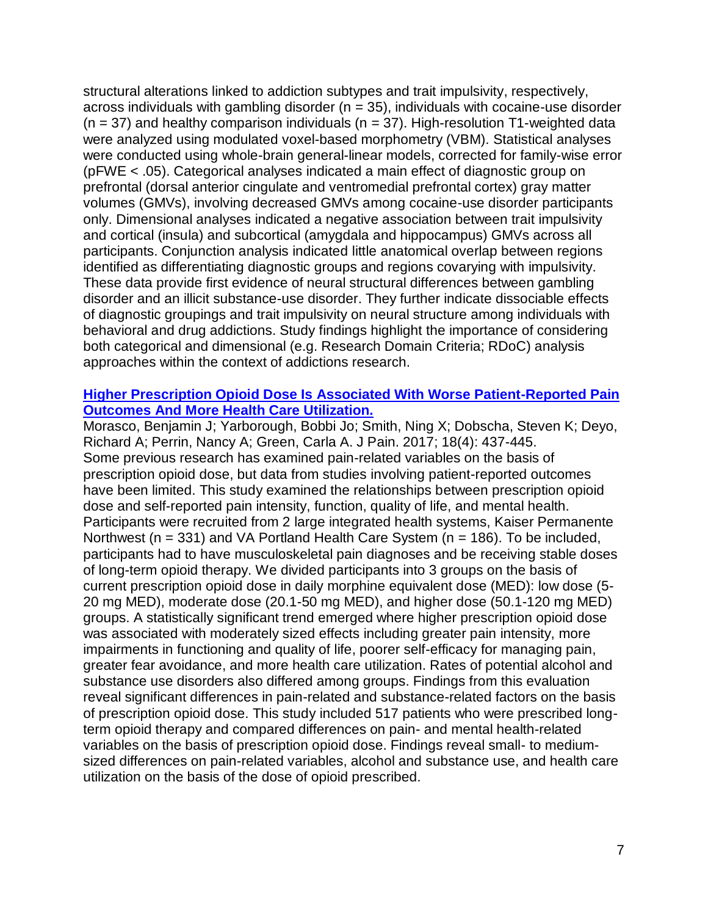structural alterations linked to addiction subtypes and trait impulsivity, respectively, across individuals with gambling disorder ( $n = 35$ ), individuals with cocaine-use disorder  $(n = 37)$  and healthy comparison individuals  $(n = 37)$ . High-resolution T1-weighted data were analyzed using modulated voxel-based morphometry (VBM). Statistical analyses were conducted using whole-brain general-linear models, corrected for family-wise error (pFWE < .05). Categorical analyses indicated a main effect of diagnostic group on prefrontal (dorsal anterior cingulate and ventromedial prefrontal cortex) gray matter volumes (GMVs), involving decreased GMVs among cocaine-use disorder participants only. Dimensional analyses indicated a negative association between trait impulsivity and cortical (insula) and subcortical (amygdala and hippocampus) GMVs across all participants. Conjunction analysis indicated little anatomical overlap between regions identified as differentiating diagnostic groups and regions covarying with impulsivity. These data provide first evidence of neural structural differences between gambling disorder and an illicit substance-use disorder. They further indicate dissociable effects of diagnostic groupings and trait impulsivity on neural structure among individuals with behavioral and drug addictions. Study findings highlight the importance of considering both categorical and dimensional (e.g. Research Domain Criteria; RDoC) analysis approaches within the context of addictions research.

#### **[Higher Prescription Opioid Dose Is Associated With Worse Patient-Reported Pain](http://www.ncbi.nlm.nih.gov/pubmed/27993558)  [Outcomes And More Health Care Utilization.](http://www.ncbi.nlm.nih.gov/pubmed/27993558)**

Morasco, Benjamin J; Yarborough, Bobbi Jo; Smith, Ning X; Dobscha, Steven K; Deyo, Richard A; Perrin, Nancy A; Green, Carla A. J Pain. 2017; 18(4): 437-445. Some previous research has examined pain-related variables on the basis of prescription opioid dose, but data from studies involving patient-reported outcomes have been limited. This study examined the relationships between prescription opioid dose and self-reported pain intensity, function, quality of life, and mental health. Participants were recruited from 2 large integrated health systems, Kaiser Permanente Northwest ( $n = 331$ ) and VA Portland Health Care System ( $n = 186$ ). To be included, participants had to have musculoskeletal pain diagnoses and be receiving stable doses of long-term opioid therapy. We divided participants into 3 groups on the basis of current prescription opioid dose in daily morphine equivalent dose (MED): low dose (5- 20 mg MED), moderate dose (20.1-50 mg MED), and higher dose (50.1-120 mg MED) groups. A statistically significant trend emerged where higher prescription opioid dose was associated with moderately sized effects including greater pain intensity, more impairments in functioning and quality of life, poorer self-efficacy for managing pain, greater fear avoidance, and more health care utilization. Rates of potential alcohol and substance use disorders also differed among groups. Findings from this evaluation reveal significant differences in pain-related and substance-related factors on the basis of prescription opioid dose. This study included 517 patients who were prescribed longterm opioid therapy and compared differences on pain- and mental health-related variables on the basis of prescription opioid dose. Findings reveal small- to mediumsized differences on pain-related variables, alcohol and substance use, and health care utilization on the basis of the dose of opioid prescribed.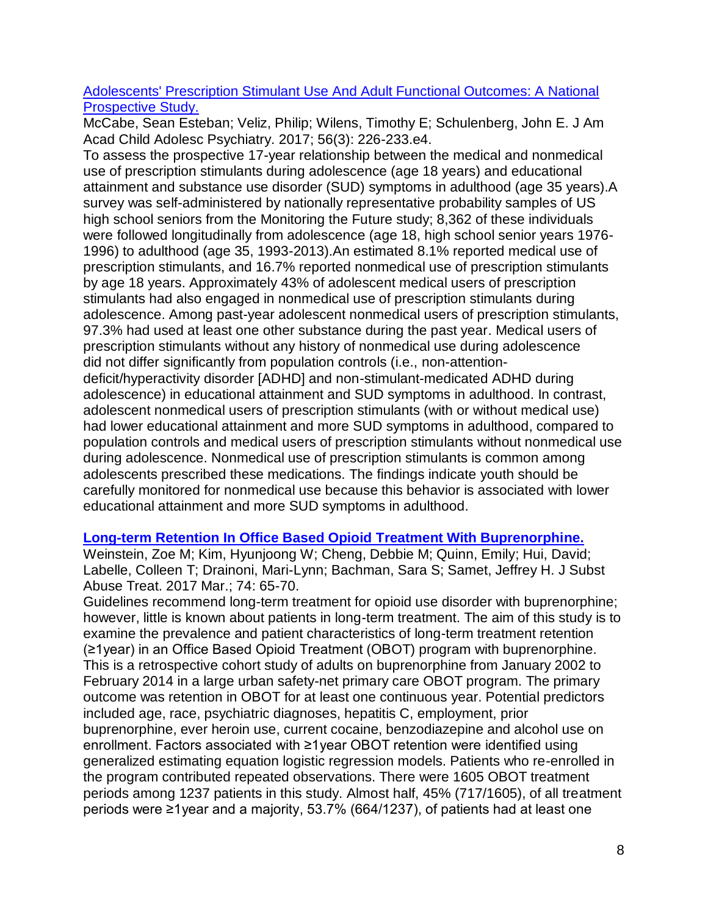# [Adolescents' Prescription Stimulant Use And Adult Functional Outcomes: A National](http://www.ncbi.nlm.nih.gov/pubmed/28219488)  [Prospective Study.](http://www.ncbi.nlm.nih.gov/pubmed/28219488)

McCabe, Sean Esteban; Veliz, Philip; Wilens, Timothy E; Schulenberg, John E. J Am Acad Child Adolesc Psychiatry. 2017; 56(3): 226-233.e4.

To assess the prospective 17-year relationship between the medical and nonmedical use of prescription stimulants during adolescence (age 18 years) and educational attainment and substance use disorder (SUD) symptoms in adulthood (age 35 years).A survey was self-administered by nationally representative probability samples of US high school seniors from the Monitoring the Future study; 8,362 of these individuals were followed longitudinally from adolescence (age 18, high school senior years 1976- 1996) to adulthood (age 35, 1993-2013).An estimated 8.1% reported medical use of prescription stimulants, and 16.7% reported nonmedical use of prescription stimulants by age 18 years. Approximately 43% of adolescent medical users of prescription stimulants had also engaged in nonmedical use of prescription stimulants during adolescence. Among past-year adolescent nonmedical users of prescription stimulants, 97.3% had used at least one other substance during the past year. Medical users of prescription stimulants without any history of nonmedical use during adolescence did not differ significantly from population controls (i.e., non-attentiondeficit/hyperactivity disorder [ADHD] and non-stimulant-medicated ADHD during adolescence) in educational attainment and SUD symptoms in adulthood. In contrast, adolescent nonmedical users of prescription stimulants (with or without medical use) had lower educational attainment and more SUD symptoms in adulthood, compared to population controls and medical users of prescription stimulants without nonmedical use during adolescence. Nonmedical use of prescription stimulants is common among adolescents prescribed these medications. The findings indicate youth should be carefully monitored for nonmedical use because this behavior is associated with lower educational attainment and more SUD symptoms in adulthood.

# **[Long-term Retention In Office Based Opioid Treatment With Buprenorphine.](http://www.ncbi.nlm.nih.gov/pubmed/28132702)**

Weinstein, Zoe M; Kim, Hyunjoong W; Cheng, Debbie M; Quinn, Emily; Hui, David; Labelle, Colleen T; Drainoni, Mari-Lynn; Bachman, Sara S; Samet, Jeffrey H. J Subst Abuse Treat. 2017 Mar.; 74: 65-70.

Guidelines recommend long-term treatment for opioid use disorder with buprenorphine; however, little is known about patients in long-term treatment. The aim of this study is to examine the prevalence and patient characteristics of long-term treatment retention (≥1year) in an Office Based Opioid Treatment (OBOT) program with buprenorphine. This is a retrospective cohort study of adults on buprenorphine from January 2002 to February 2014 in a large urban safety-net primary care OBOT program. The primary outcome was retention in OBOT for at least one continuous year. Potential predictors included age, race, psychiatric diagnoses, hepatitis C, employment, prior buprenorphine, ever heroin use, current cocaine, benzodiazepine and alcohol use on enrollment. Factors associated with ≥1year OBOT retention were identified using generalized estimating equation logistic regression models. Patients who re-enrolled in the program contributed repeated observations. There were 1605 OBOT treatment periods among 1237 patients in this study. Almost half, 45% (717/1605), of all treatment periods were ≥1year and a majority, 53.7% (664/1237), of patients had at least one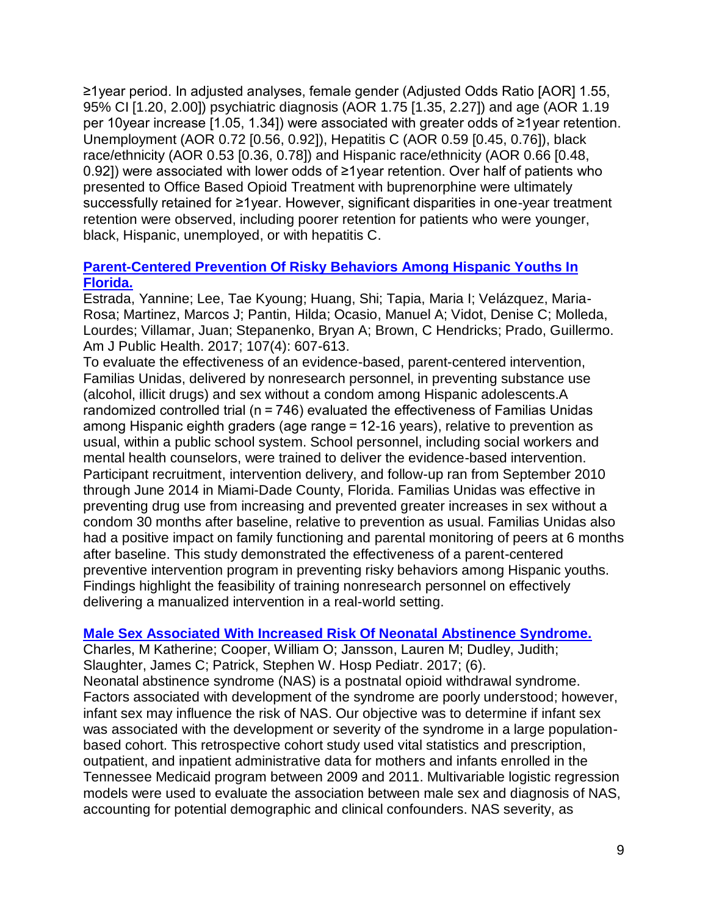≥1year period. In adjusted analyses, female gender (Adjusted Odds Ratio [AOR] 1.55, 95% CI [1.20, 2.00]) psychiatric diagnosis (AOR 1.75 [1.35, 2.27]) and age (AOR 1.19 per 10year increase [1.05, 1.34]) were associated with greater odds of ≥1year retention. Unemployment (AOR 0.72 [0.56, 0.92]), Hepatitis C (AOR 0.59 [0.45, 0.76]), black race/ethnicity (AOR 0.53 [0.36, 0.78]) and Hispanic race/ethnicity (AOR 0.66 [0.48, 0.92]) were associated with lower odds of ≥1year retention. Over half of patients who presented to Office Based Opioid Treatment with buprenorphine were ultimately successfully retained for ≥1year. However, significant disparities in one-year treatment retention were observed, including poorer retention for patients who were younger, black, Hispanic, unemployed, or with hepatitis C.

# **[Parent-Centered Prevention Of Risky Behaviors Among Hispanic Youths In](http://www.ncbi.nlm.nih.gov/pubmed/28207330)  [Florida.](http://www.ncbi.nlm.nih.gov/pubmed/28207330)**

Estrada, Yannine; Lee, Tae Kyoung; Huang, Shi; Tapia, Maria I; Velázquez, Maria-Rosa; Martinez, Marcos J; Pantin, Hilda; Ocasio, Manuel A; Vidot, Denise C; Molleda, Lourdes; Villamar, Juan; Stepanenko, Bryan A; Brown, C Hendricks; Prado, Guillermo. Am J Public Health. 2017; 107(4): 607-613.

To evaluate the effectiveness of an evidence-based, parent-centered intervention, Familias Unidas, delivered by nonresearch personnel, in preventing substance use (alcohol, illicit drugs) and sex without a condom among Hispanic adolescents.A randomized controlled trial (n = 746) evaluated the effectiveness of Familias Unidas among Hispanic eighth graders (age range = 12-16 years), relative to prevention as usual, within a public school system. School personnel, including social workers and mental health counselors, were trained to deliver the evidence-based intervention. Participant recruitment, intervention delivery, and follow-up ran from September 2010 through June 2014 in Miami-Dade County, Florida. Familias Unidas was effective in preventing drug use from increasing and prevented greater increases in sex without a condom 30 months after baseline, relative to prevention as usual. Familias Unidas also had a positive impact on family functioning and parental monitoring of peers at 6 months after baseline. This study demonstrated the effectiveness of a parent-centered preventive intervention program in preventing risky behaviors among Hispanic youths. Findings highlight the feasibility of training nonresearch personnel on effectively delivering a manualized intervention in a real-world setting.

## **[Male Sex Associated With Increased Risk Of Neonatal Abstinence Syndrome.](http://www.ncbi.nlm.nih.gov/pubmed/28465360)**

Charles, M Katherine; Cooper, William O; Jansson, Lauren M; Dudley, Judith; Slaughter, James C; Patrick, Stephen W. Hosp Pediatr. 2017; (6). Neonatal abstinence syndrome (NAS) is a postnatal opioid withdrawal syndrome. Factors associated with development of the syndrome are poorly understood; however, infant sex may influence the risk of NAS. Our objective was to determine if infant sex was associated with the development or severity of the syndrome in a large populationbased cohort. This retrospective cohort study used vital statistics and prescription, outpatient, and inpatient administrative data for mothers and infants enrolled in the Tennessee Medicaid program between 2009 and 2011. Multivariable logistic regression models were used to evaluate the association between male sex and diagnosis of NAS, accounting for potential demographic and clinical confounders. NAS severity, as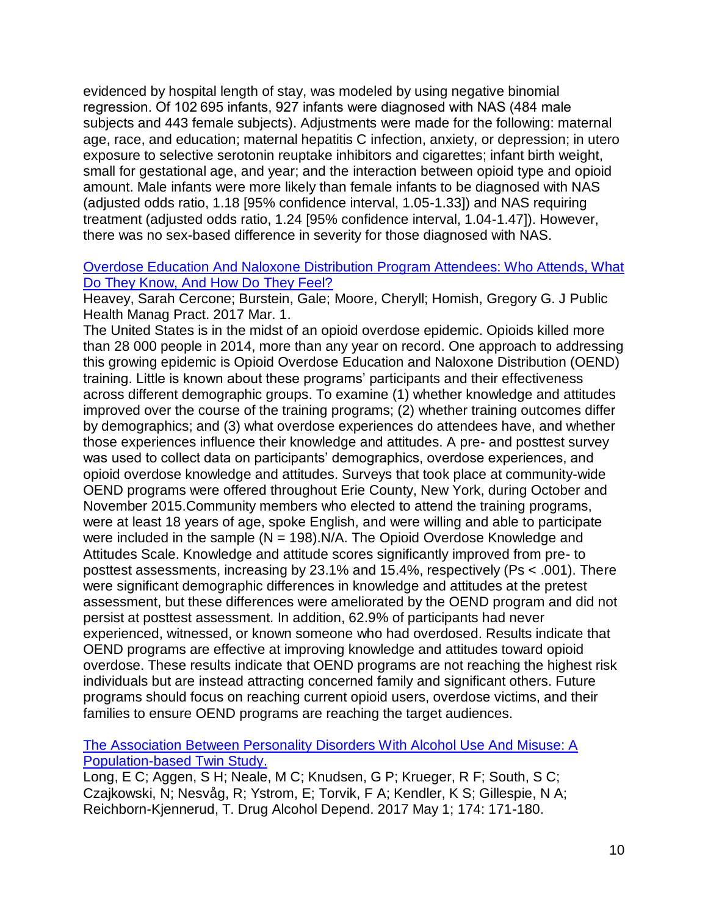evidenced by hospital length of stay, was modeled by using negative binomial regression. Of 102 695 infants, 927 infants were diagnosed with NAS (484 male subjects and 443 female subjects). Adjustments were made for the following: maternal age, race, and education; maternal hepatitis C infection, anxiety, or depression; in utero exposure to selective serotonin reuptake inhibitors and cigarettes; infant birth weight, small for gestational age, and year; and the interaction between opioid type and opioid amount. Male infants were more likely than female infants to be diagnosed with NAS (adjusted odds ratio, 1.18 [95% confidence interval, 1.05-1.33]) and NAS requiring treatment (adjusted odds ratio, 1.24 [95% confidence interval, 1.04-1.47]). However, there was no sex-based difference in severity for those diagnosed with NAS.

## [Overdose Education And Naloxone Distribution Program Attendees: Who Attends, What](http://www.ncbi.nlm.nih.gov/pubmed/28257406)  [Do They Know, And How Do They Feel?](http://www.ncbi.nlm.nih.gov/pubmed/28257406)

Heavey, Sarah Cercone; Burstein, Gale; Moore, Cheryll; Homish, Gregory G. J Public Health Manag Pract. 2017 Mar. 1.

The United States is in the midst of an opioid overdose epidemic. Opioids killed more than 28 000 people in 2014, more than any year on record. One approach to addressing this growing epidemic is Opioid Overdose Education and Naloxone Distribution (OEND) training. Little is known about these programs' participants and their effectiveness across different demographic groups. To examine (1) whether knowledge and attitudes improved over the course of the training programs; (2) whether training outcomes differ by demographics; and (3) what overdose experiences do attendees have, and whether those experiences influence their knowledge and attitudes. A pre- and posttest survey was used to collect data on participants' demographics, overdose experiences, and opioid overdose knowledge and attitudes. Surveys that took place at community-wide OEND programs were offered throughout Erie County, New York, during October and November 2015.Community members who elected to attend the training programs, were at least 18 years of age, spoke English, and were willing and able to participate were included in the sample  $(N = 198)$ . N/A. The Opioid Overdose Knowledge and Attitudes Scale. Knowledge and attitude scores significantly improved from pre- to posttest assessments, increasing by 23.1% and 15.4%, respectively (Ps < .001). There were significant demographic differences in knowledge and attitudes at the pretest assessment, but these differences were ameliorated by the OEND program and did not persist at posttest assessment. In addition, 62.9% of participants had never experienced, witnessed, or known someone who had overdosed. Results indicate that OEND programs are effective at improving knowledge and attitudes toward opioid overdose. These results indicate that OEND programs are not reaching the highest risk individuals but are instead attracting concerned family and significant others. Future programs should focus on reaching current opioid users, overdose victims, and their families to ensure OEND programs are reaching the target audiences.

[The Association Between Personality Disorders With Alcohol Use And Misuse: A](http://www.ncbi.nlm.nih.gov/pubmed/28334662)  [Population-based Twin Study.](http://www.ncbi.nlm.nih.gov/pubmed/28334662)

Long, E C; Aggen, S H; Neale, M C; Knudsen, G P; Krueger, R F; South, S C; Czajkowski, N; Nesvåg, R; Ystrom, E; Torvik, F A; Kendler, K S; Gillespie, N A; Reichborn-Kjennerud, T. Drug Alcohol Depend. 2017 May 1; 174: 171-180.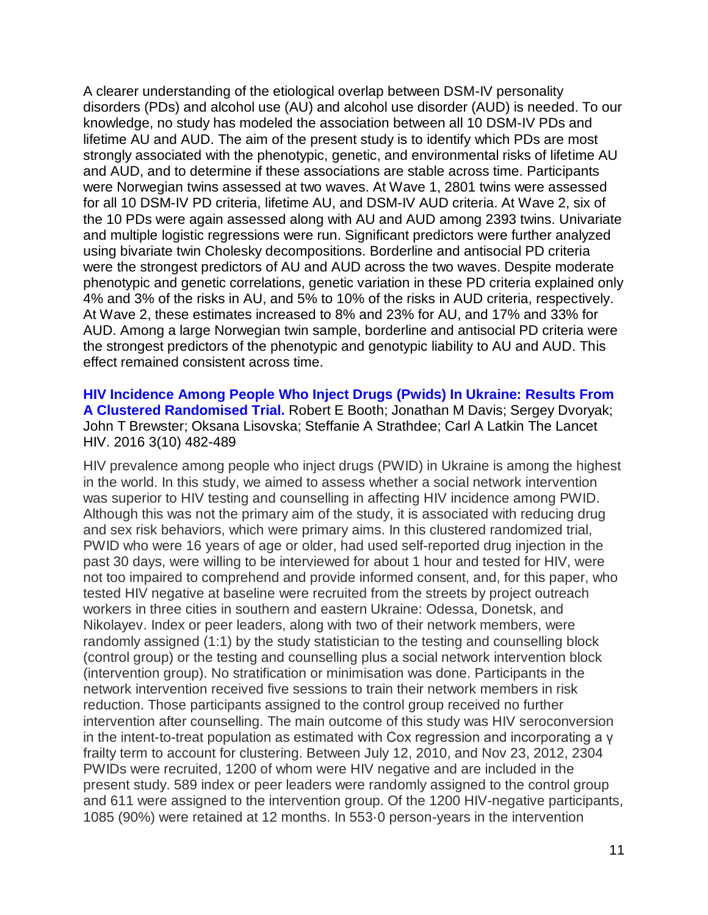A clearer understanding of the etiological overlap between DSM-IV personality disorders (PDs) and alcohol use (AU) and alcohol use disorder (AUD) is needed. To our knowledge, no study has modeled the association between all 10 DSM-IV PDs and lifetime AU and AUD. The aim of the present study is to identify which PDs are most strongly associated with the phenotypic, genetic, and environmental risks of lifetime AU and AUD, and to determine if these associations are stable across time. Participants were Norwegian twins assessed at two waves. At Wave 1, 2801 twins were assessed for all 10 DSM-IV PD criteria, lifetime AU, and DSM-IV AUD criteria. At Wave 2, six of the 10 PDs were again assessed along with AU and AUD among 2393 twins. Univariate and multiple logistic regressions were run. Significant predictors were further analyzed using bivariate twin Cholesky decompositions. Borderline and antisocial PD criteria were the strongest predictors of AU and AUD across the two waves. Despite moderate phenotypic and genetic correlations, genetic variation in these PD criteria explained only 4% and 3% of the risks in AU, and 5% to 10% of the risks in AUD criteria, respectively. At Wave 2, these estimates increased to 8% and 23% for AU, and 17% and 33% for AUD. Among a large Norwegian twin sample, borderline and antisocial PD criteria were the strongest predictors of the phenotypic and genotypic liability to AU and AUD. This effect remained consistent across time.

**[HIV Incidence Among People Who Inject Drugs \(Pwids\) In Ukraine: Results From](https://www.ncbi.nlm.nih.gov/pubmed/27658879) A Clustered Randomised Trial.** Robert E Booth; Jonathan M Davis; Sergey Dvoryak; John T Brewster; Oksana Lisovska; Steffanie A Strathdee; Carl A Latkin The Lancet HIV. 2016 3(10) 482-489

HIV prevalence among people who inject drugs (PWID) in Ukraine is among the highest in the world. In this study, we aimed to assess whether a social network intervention was superior to HIV testing and counselling in affecting HIV incidence among PWID. Although this was not the primary aim of the study, it is associated with reducing drug and sex risk behaviors, which were primary aims. In this clustered randomized trial, PWID who were 16 years of age or older, had used self-reported drug injection in the past 30 days, were willing to be interviewed for about 1 hour and tested for HIV, were not too impaired to comprehend and provide informed consent, and, for this paper, who tested HIV negative at baseline were recruited from the streets by project outreach workers in three cities in southern and eastern Ukraine: Odessa, Donetsk, and Nikolayev. Index or peer leaders, along with two of their network members, were randomly assigned (1:1) by the study statistician to the testing and counselling block (control group) or the testing and counselling plus a social network intervention block (intervention group). No stratification or minimisation was done. Participants in the network intervention received five sessions to train their network members in risk reduction. Those participants assigned to the control group received no further intervention after counselling. The main outcome of this study was HIV seroconversion in the intent-to-treat population as estimated with Cox regression and incorporating a γ frailty term to account for clustering. Between July 12, 2010, and Nov 23, 2012, 2304 PWIDs were recruited, 1200 of whom were HIV negative and are included in the present study. 589 index or peer leaders were randomly assigned to the control group and 611 were assigned to the intervention group. Of the 1200 HIV-negative participants, 1085 (90%) were retained at 12 months. In 553·0 person-years in the intervention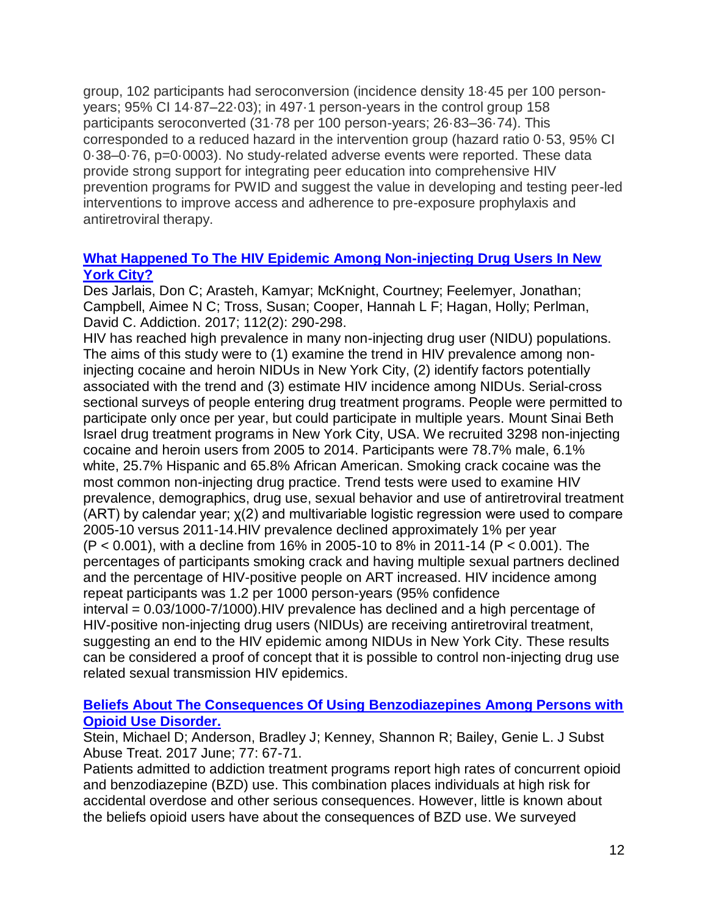group, 102 participants had seroconversion (incidence density 18·45 per 100 personyears; 95% CI 14·87–22·03); in 497·1 person-years in the control group 158 participants seroconverted (31·78 per 100 person-years; 26·83–36·74). This corresponded to a reduced hazard in the intervention group (hazard ratio 0·53, 95% CI 0·38–0·76, p=0·0003). No study-related adverse events were reported. These data provide strong support for integrating peer education into comprehensive HIV prevention programs for PWID and suggest the value in developing and testing peer-led interventions to improve access and adherence to pre-exposure prophylaxis and antiretroviral therapy.

## **[What Happened To The HIV Epidemic Among Non-injecting Drug Users In New](http://www.ncbi.nlm.nih.gov/pubmed/27613968)  [York City?](http://www.ncbi.nlm.nih.gov/pubmed/27613968)**

Des Jarlais, Don C; Arasteh, Kamyar; McKnight, Courtney; Feelemyer, Jonathan; Campbell, Aimee N C; Tross, Susan; Cooper, Hannah L F; Hagan, Holly; Perlman, David C. Addiction. 2017; 112(2): 290-298.

HIV has reached high prevalence in many non-injecting drug user (NIDU) populations. The aims of this study were to (1) examine the trend in HIV prevalence among noninjecting cocaine and heroin NIDUs in New York City, (2) identify factors potentially associated with the trend and (3) estimate HIV incidence among NIDUs. Serial-cross sectional surveys of people entering drug treatment programs. People were permitted to participate only once per year, but could participate in multiple years. Mount Sinai Beth Israel drug treatment programs in New York City, USA. We recruited 3298 non-injecting cocaine and heroin users from 2005 to 2014. Participants were 78.7% male, 6.1% white, 25.7% Hispanic and 65.8% African American. Smoking crack cocaine was the most common non-injecting drug practice. Trend tests were used to examine HIV prevalence, demographics, drug use, sexual behavior and use of antiretroviral treatment (ART) by calendar year; χ(2) and multivariable logistic regression were used to compare 2005-10 versus 2011-14.HIV prevalence declined approximately 1% per year (P < 0.001), with a decline from 16% in 2005-10 to 8% in 2011-14 (P < 0.001). The percentages of participants smoking crack and having multiple sexual partners declined and the percentage of HIV-positive people on ART increased. HIV incidence among repeat participants was 1.2 per 1000 person-years (95% confidence interval = 0.03/1000-7/1000).HIV prevalence has declined and a high percentage of HIV-positive non-injecting drug users (NIDUs) are receiving antiretroviral treatment, suggesting an end to the HIV epidemic among NIDUs in New York City. These results can be considered a proof of concept that it is possible to control non-injecting drug use related sexual transmission HIV epidemics.

# **[Beliefs About The Consequences Of Using Benzodiazepines Among Persons with](http://www.ncbi.nlm.nih.gov/pubmed/28476275)  [Opioid Use Disorder.](http://www.ncbi.nlm.nih.gov/pubmed/28476275)**

Stein, Michael D; Anderson, Bradley J; Kenney, Shannon R; Bailey, Genie L. J Subst Abuse Treat. 2017 June; 77: 67-71.

Patients admitted to addiction treatment programs report high rates of concurrent opioid and benzodiazepine (BZD) use. This combination places individuals at high risk for accidental overdose and other serious consequences. However, little is known about the beliefs opioid users have about the consequences of BZD use. We surveyed